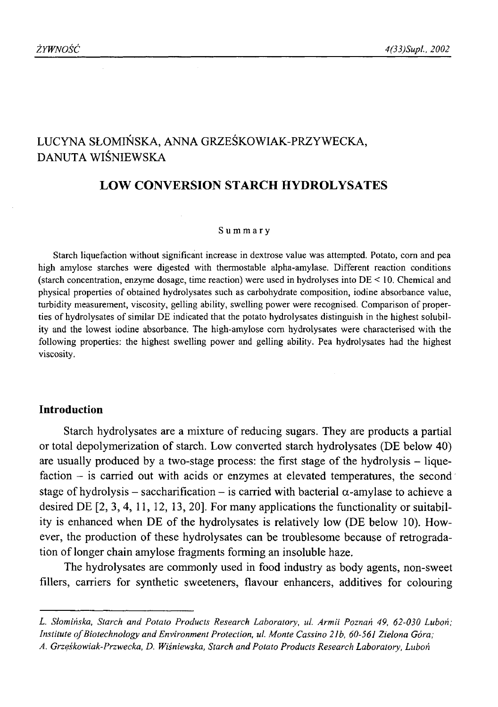# LUCYNA SŁOMIŃSKA, ANNA GRZEŚKOWIAK-PRZYWECKA, DANUTA WIŚNIEWSKA

# **LOW CONVERSION STARCH HYDROLYSATES**

# **Summary**

Starch liquefaction without significant increase in dextrose value was attempted. Potato, com and pea high amylose starches were digested with thermostable alpha-amylase. Different reaction conditions (starch concentration, enzyme dosage, time reaction) were used in hydrolyses into DE < 10. Chemical and physical properties of obtained hydrolysates such as carbohydrate composition, iodine absorbance value, turbidity measurement, viscosity, gelling ability, swelling power were recognised. Comparison of properties of hydrolysates of similar DE indicated that the potato hydrolysates distinguish in the highest solubility and the lowest iodine absorbance. The high-amylose corn hydrolysates were characterised with the following properties: the highest swelling power and gelling ability. Pea hydrolysates had the highest viscosity.

# **Introduction**

Starch hydrolysates are a mixture of reducing sugars. They are products a partial or total depolymerization of starch. Low converted starch hydrolysates (DE below 40) are usually produced by a two-stage process: the first stage of the hydrolysis – liquefaction – is carried out with acids or enzymes at elevated temperatures, the second stage of hydrolysis – saccharification – is carried with bacterial  $\alpha$ -amylase to achieve a desired DE [2, 3 ,4 , 11, 12, 13, 20]. For many applications the functionality or suitability is enhanced when DE of the hydrolysates is relatively low (DE below 10). However, the production of these hydrolysates can be troublesome because of retrogradation of longer chain amylose fragments forming an insoluble haze.

The hydrolysates are commonly used in food industry as body agents, non-sweet fillers, carriers for synthetic sweeteners, flavour enhancers, additives for colouring

*L. Słomińska, Starch and Potato Products Research Laboratory, ul. Armii Poznań 49, 62-030 Luboń; Institute of Biotechnology and Environment Protection, ul. Monte Cassino 21b, 60-561 Zielona Góra; A. Grzęśkowiak-Przwecka, D. Wiśniewska, Starch and Potato Products Research Laboratory, Luboń*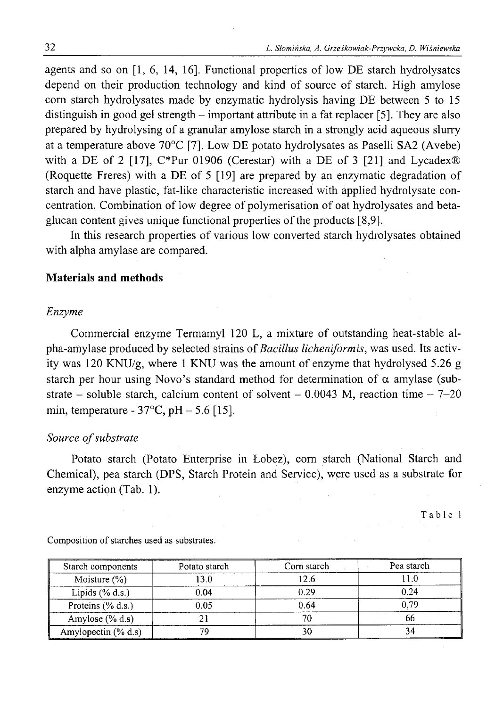agents and so on [1, 6, 14, 16]. Functional properties of low DE starch hydrolysates depend on their production technology and kind of source of starch. High amylose corn starch hydrolysates made by enzymatic hydrolysis having DE between 5 to 15 distinguish in good gel strength - important attribute in a fat replacer [5]. They are also prepared by hydrolysing of a granular amylose starch in a strongly acid aqueous slurry at a temperature above  $70^{\circ}$ C [7]. Low DE potato hydrolysates as Paselli SA2 (Avebe) with a DE of 2 [17], C\*Pur 01906 (Cerestar) with a DE of 3 [21] and Lycadex $\circledR$ (Roquette Freres) with a DE of 5 [19] are prepared by an enzymatic degradation of starch and have plastic, fat-like characteristic increased with applied hydrolysate concentration. Combination of low degree of polymerisation of oat hydrolysates and betaglucan content gives unique functional properties of the products [8,9].

In this research properties of various low converted starch hydrolysates obtained with alpha amylase are compared.

# **Materials and methods**

#### *Enzyme*

Commercial enzyme Termamyl 120 L, a mixture of outstanding heat-stable alpha-amylase produced by selected strains of *Bacillus licheniformis,* was used. Its activity was 120 KNU/g, where 1 KNU was the amount of enzyme that hydrolysed 5.26 g starch per hour using Novo's standard method for determination of  $\alpha$  amylase (substrate – soluble starch, calcium content of solvent – 0.0043 M, reaction time –  $7-20$ min, temperature -  $37^{\circ}$ C, pH  $- 5.6$  [15].

# Source of substrate

Potato starch (Potato Enterprise in Łobez), com starch (National Starch and Chemical), pea starch (DPS, Starch Protein and Service), were used as a substrate for enzyme action (Tab. 1).

Table 1

| Starch components      | Potato starch | Corn starch | Pea starch |  |
|------------------------|---------------|-------------|------------|--|
| Moisture $(\%)$        | 13.0          | 12.6        |            |  |
| Lipids $(\%$ d.s.)     | 0.04          | 0.29        | 0.24       |  |
| Proteins $(\%$ d.s.)   | 0.05          | 0.64        | 0.79       |  |
| Amylose $(\%$ d.s)     |               |             |            |  |
| Amylopectin $(\%$ d.s) | 79            |             |            |  |

Composition of starches used as substrates.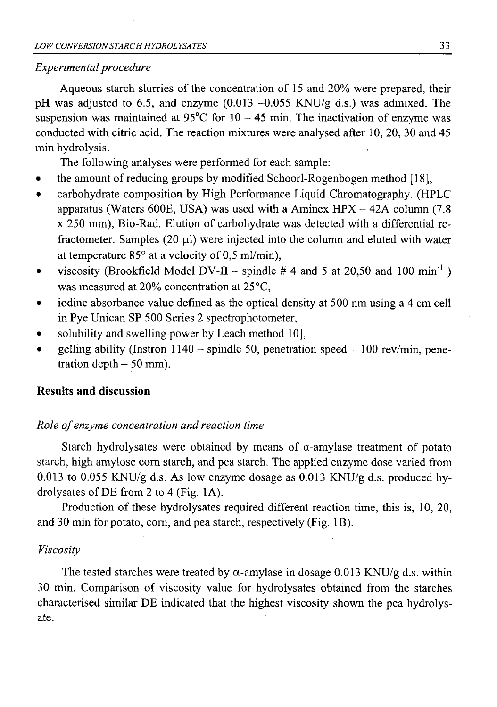# *Experimental procedure*

Aqueous starch slurries of the concentration of 15 and 20% were prepared, their pH was adjusted to 6.5, and enzyme  $(0.013 - 0.055$  KNU/g d.s.) was admixed. The suspension was maintained at 95 $^{\circ}$ C for 10 - 45 min. The inactivation of enzyme was conducted with citric acid. The reaction mixtures were analysed after 10, 20, 30 and 45 min hydrolysis.

The following analyses were performed for each sample:

- the amount of reducing groups by modified Schoorl-Rogenbogen method  $[18]$ ,
- carbohydrate composition by High Performance Liquid Chromatography. (HPLC apparatus (Waters 600E, USA) was used with a Aminex  $HPX - 42A$  column (7.8) x 250 mm), Bio-Rad. Elution of carbohydrate was detected with a differential refractometer. Samples  $(20 \mu l)$  were injected into the column and eluted with water at temperature  $85^\circ$  at a velocity of 0,5 ml/min),
- viscosity (Brookfield Model DV-II spindle # 4 and 5 at 20,50 and 100 min<sup>-1</sup>) was measured at 20% concentration at 25°C,
- iodine absorbance value defined as the optical density at 500 nm using a 4 cm cell in Pye Unican SP 500 Series 2 spectrophotometer,
- solubility and swelling power by Leach method 10],
- gelling ability (Instron 1140 spindle 50, penetration speed  $-100$  rev/min, penetration depth  $-50$  mm).

# **Results and discussion**

# *Role of enzyme concentration and reaction time*

Starch hydrolysates were obtained by means of  $\alpha$ -amylase treatment of potato starch, high amylose com starch, and pea starch. The applied enzyme dose varied from 0.013 to 0.055 KNU/g d.s. As low enzyme dosage as 0.013 KNU/g d.s. produced hydrolysates of DE from 2 to 4 (Fig. 1A).

Production of these hydrolysates required different reaction time, this is, 10, 20, and 30 min for potato, com, and pea starch, respectively (Fig. IB).

#### *Viscosity*

The tested starches were treated by  $\alpha$ -amylase in dosage 0.013 KNU/g d.s. within 30 min. Comparison of viscosity value for hydrolysates obtained from the starches characterised similar DE indicated that the highest viscosity shown the pea hydrolysate.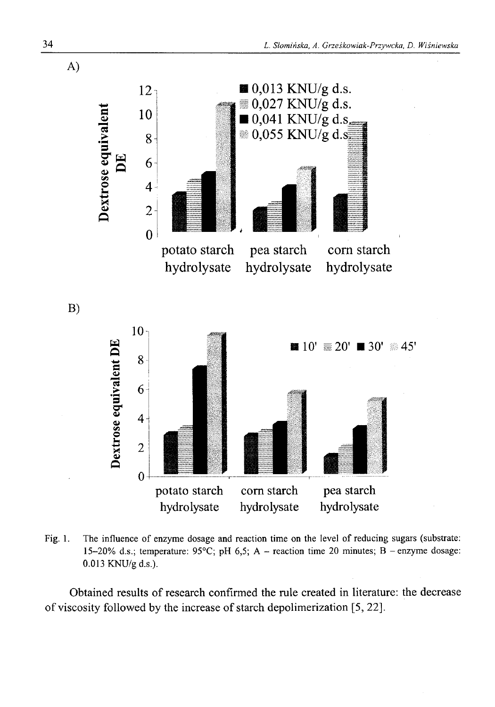

Fig. 1. The influence of enzyme dosage and reaction time on the level of reducing sugars (substrate: 15-20% d.s.; temperature:  $95^{\circ}$ C; pH 6,5; A - reaction time 20 minutes; B - enzyme dosage: 0.013 KNU/g d.s.).

Obtained results of research confirmed the rule created in literature: the decrease of viscosity followed by the increase of starch depolimerization [5, 22].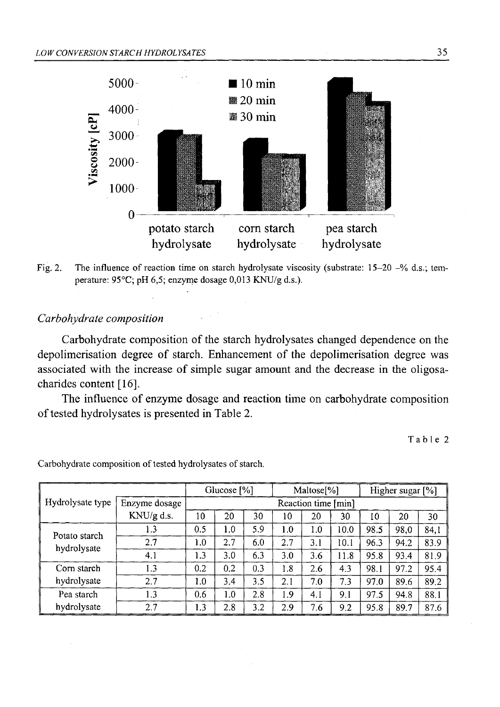



# *Carbohydrate composition*

Carbohydrate composition of the starch hydrolysates changed dependence on the depolimerisation degree of starch. Enhancement of the depolimerisation degree was associated with the increase of simple sugar amount and the decrease in the oligosacharides content [16].

The influence of enzyme dosage and reaction time on carbohydrate composition of tested hydrolysates is presented in Table 2.

Table 2

|                              |               | Glucose [%]         |     | Maltose[%] |     | Higher sugar [%] |      |      |      |      |
|------------------------------|---------------|---------------------|-----|------------|-----|------------------|------|------|------|------|
| Hydrolysate type             | Enzyme dosage | Reaction time [min] |     |            |     |                  |      |      |      |      |
|                              | KNU/g d.s.    | 10                  | 20  | 30         | 10  | 20               | 30   | 10   | 20   | 30   |
| Potato starch<br>hydrolysate | 1.3           | 0.5                 | 1.0 | 5.9        | 1.0 | 1.0              | 10.0 | 98.5 | 98.0 | 84.1 |
|                              | 2.7           | 1.0                 | 2.7 | 6.0        | 2.7 | 3.1              | 10.1 | 96.3 | 94.2 | 83.9 |
|                              | 4.1           | 1.3                 | 3.0 | 6.3        | 3.0 | 3.6              | 11.8 | 95.8 | 93.4 | 81.9 |
| Corn starch<br>hydrolysate   | 1.3           | 0.2                 | 0.2 | 0.3        | 1.8 | 2.6              | 4.3  | 98.1 | 97.2 | 95.4 |
|                              | 2.7           | 1.0                 | 3.4 | 3.5        | 2.1 | 7.0              | 7.3  | 97.0 | 89.6 | 89.2 |
| Pea starch<br>hydrolysate    | 1.3           | 0.6                 | 1.0 | 2.8        | 1.9 | 4.1              | 9.1  | 97.5 | 94.8 | 88.1 |
|                              | 2.7           | 1.3                 | 2.8 | 3.2        | 2.9 | 7.6              | 9.2  | 95.8 | 89.7 | 87.6 |

Carbohydrate composition of tested hydrolysates of starch.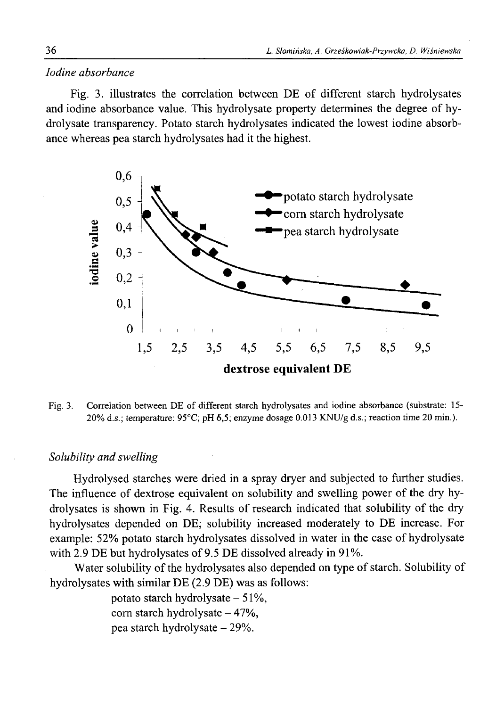# *Iodine absorbance*

Fig. 3. illustrates the correlation between DE of different starch hydrolysates and iodine absorbance value. This hydrolysate property determines the degree of hydrolysate transparency. Potato starch hydrolysates indicated the lowest iodine absorbance whereas pea starch hydrolysates had it the highest.



Fig. 3. Correlation between DE of different starch hydrolysates and iodine absorbance (substrate: 15- 20% d.s.; temperature: 95°C; pH 6,5; enzyme dosage 0.013 KNU/g d.s.; reaction time 20 min.).

# *Solubility and swelling*

Hydrolysed starches were dried in a spray dryer and subjected to farther studies. The influence of dextrose equivalent on solubility and swelling power of the dry hydrolysates is shown in Fig. 4. Results of research indicated that solubility of the dry hydrolysates depended on DE; solubility increased moderately to DE increase. For example: 52% potato starch hydrolysates dissolved in water in the case of hydrolysate with 2.9 DE but hydrolysates of 9.5 DE dissolved already in 91%.

Water solubility of the hydrolysates also depended on type of starch. Solubility of hydrolysates with similar DE (2.9 DE) was as follows:

> potato starch hydrolysate  $-51\%$ , corn starch hydrolysate  $-47%$ , pea starch hydrolysate - 29%.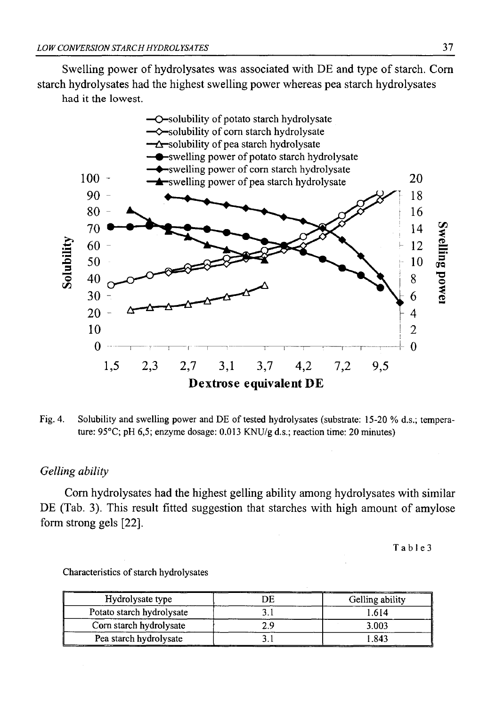Swelling power of hydrolysates was associated with DE and type of starch. Corn starch hydrolysates had the highest swelling power whereas pea starch hydrolysates had it the lowest.



Fig. 4. Solubility and swelling power and DE of tested hydrolysates (substrate: 15-20 % d.s.; temperature: 95°C; pH 6,5; enzyme dosage: 0.013 KNU/g d.s.; reaction time: 20 minutes)

# *Gelling ability*

Com hydrolysates had the highest gelling ability among hydrolysates with similar DE (Tab. 3). This result fitted suggestion that starches with high amount of amylose form strong gels [22].

T a b 1 e 3

| Hydrolysate type          | ЭE  | Gelling ability |  |  |
|---------------------------|-----|-----------------|--|--|
| Potato starch hydrolysate |     | 1.614           |  |  |
| Corn starch hydrolysate   | າ ດ | 3.003           |  |  |
| Pea starch hydrolysate    |     | 1.843           |  |  |

Characteristics of starch hydrolysates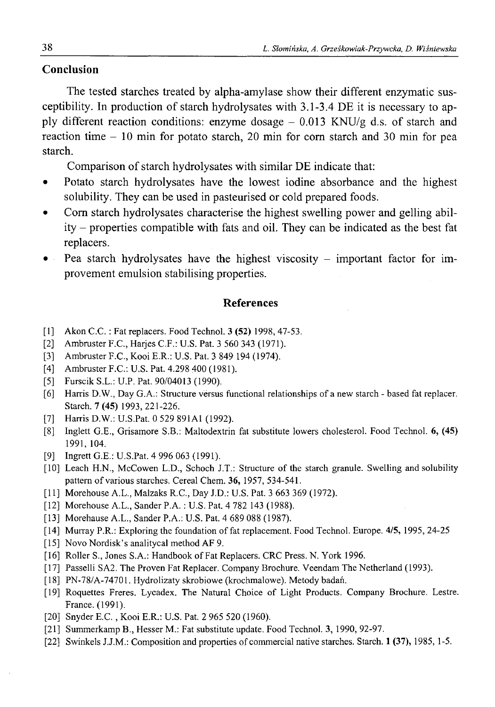# **Conclusion**

The tested starches treated by alpha-amylase show their different enzymatic susceptibility. In production of starch hydrolysates with 3.1-3.4 DE it is necessary to apply different reaction conditions: enzyme dosage  $-$  0.013 KNU/g d.s. of starch and reaction time - 10 min for potato starch, 20 min for com starch and 30 min for pea starch.

Comparison of starch hydrolysates with similar DE indicate that:

- Potato starch hydrolysates have the lowest iodine absorbance and the highest solubility. They can be used in pasteurised or cold prepared foods.
- Com starch hydrolysates characterise the highest swelling power and gelling ability - properties compatible with fats and oil. They can be indicated as the best fat replacers.
- Pea starch hydrolysates have the highest viscosity important factor for improvement emulsion stabilising properties.

# **References**

- [1] Akon C.C. : Fat replacers. Food Technol. 3 (52) 1998, 47-53.
- [2] Ambruster F.C., Harjes C.F.: U.S. Pat. 3 560 343 (1971).
- [3] Ambruster F.C., Kooi E.R.: U.S. Pat. 3 849 194 (1974).
- [4] Ambruster F.C.: U.S. Pat. 4.298 400 (1981).
- [5] Furscik S.L.: U.P. Pat. 90/04013 (1990).
- [6] Harris D.W., Day G.A.: Structure versus functional relationships of a new starch based fat replacer. Starch. 7 (45) 1993, 221-226.
- [7] Harris D.W.: U.S.Pat. 0 529 891A1 (1992).
- [8] Inglett G.E., Grisamore S.B.: Maltodextrin fat substitute lowers cholesterol. Food Technol. 6, (45) 1991, 104.
- [9] Ingrett G.E.: U.S.Pat. 4 996 063 (1991).
- [10] Leach H.N., McCowen L.D., Schoch J.T.: Structure of the starch granule. Swelling and solubility pattern of various starches. Cereal Chem. 36, 1957, 534-541.
- [11 Morehouse A.L., Malzaks R.C., Day J.D.: U.S. Pat. 3 663 369 (1972).
- [12 Morehouse A.L., Sander P.A. : U.S. Pat. 4 782 143 (1988).
- [13 Morehause A.L., Sander P.A.: U.S. Pat. 4 689 088 (1987).
- [14 Murray P.R.: Exploring the foundation of fat replacement. Food Technol. Europe. 4/5, 1995, 24-25
- [15 Novo Nordisk's analitycal method AF 9.
- [16] Roller S., Jones S.A.: Handbook of Fat Replacers. CRC Press. N. York 1996.
- [17 Passelli SA2. The Proven Fat Replacer. Company Brochure. Veendam The Netherland (1993).
- [18 PN-78/A-74701. Hydrolizaty skrobiowe (krochmalowe). Metody badań.
- [19 Roquettes Freres. Lycadex. The Natural Choice of Light Products. Company Brochure. Lestre. France. (1991).
- [20] Snyder E.C., Kooi E.R.: U.S. Pat. 2 965 520 (1960).
- [21 Summerkamp B., Hesser M.: Fat substitute update. Food Technol. 3, 1990, 92-97.
- **[22** Swinkels J.J.M.: Composition and properties of commercial native starches. Starch. 1 (37), 1985, 1-5.